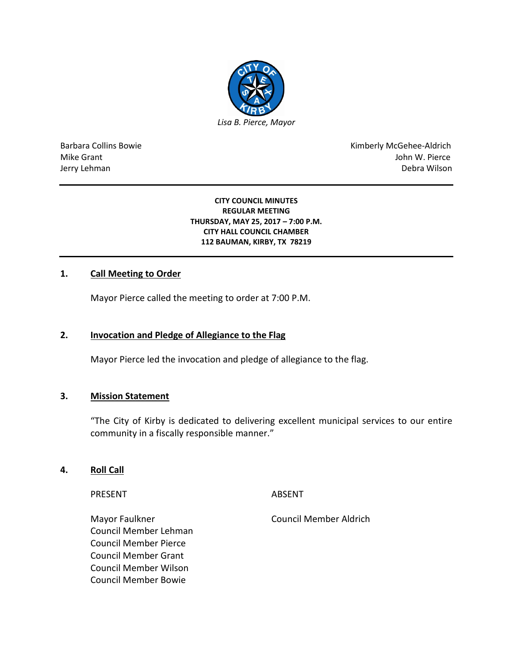

Barbara Collins Bowie **Kimberly McGehee-Aldrich** Mike Grant John W. Pierce Jerry Lehman Debra Wilson

#### **CITY COUNCIL MINUTES REGULAR MEETING THURSDAY, MAY 25, 2017 – 7:00 P.M. CITY HALL COUNCIL CHAMBER 112 BAUMAN, KIRBY, TX 78219**

# **1. Call Meeting to Order**

Mayor Pierce called the meeting to order at 7:00 P.M.

#### **2. Invocation and Pledge of Allegiance to the Flag**

Mayor Pierce led the invocation and pledge of allegiance to the flag.

#### **3. Mission Statement**

"The City of Kirby is dedicated to delivering excellent municipal services to our entire community in a fiscally responsible manner."

## **4. Roll Call**

PRESENT ABSENT

Mayor Faulkner Council Member Aldrich Council Member Lehman Council Member Pierce Council Member Grant Council Member Wilson Council Member Bowie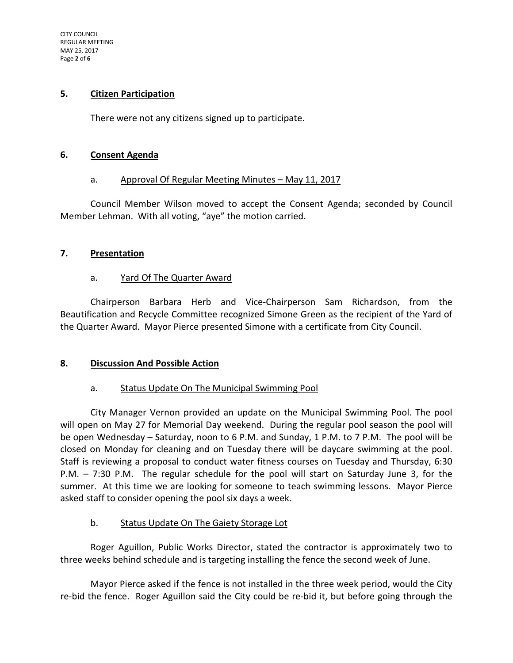#### **5. Citizen Participation**

There were not any citizens signed up to participate.

#### **6. Consent Agenda**

### a. Approval Of Regular Meeting Minutes – May 11, 2017

Council Member Wilson moved to accept the Consent Agenda; seconded by Council Member Lehman. With all voting, "aye" the motion carried.

### **7. Presentation**

### a. Yard Of The Quarter Award

Chairperson Barbara Herb and Vice-Chairperson Sam Richardson, from the Beautification and Recycle Committee recognized Simone Green as the recipient of the Yard of the Quarter Award. Mayor Pierce presented Simone with a certificate from City Council.

### **8. Discussion And Possible Action**

### a. Status Update On The Municipal Swimming Pool

City Manager Vernon provided an update on the Municipal Swimming Pool. The pool will open on May 27 for Memorial Day weekend. During the regular pool season the pool will be open Wednesday – Saturday, noon to 6 P.M. and Sunday, 1 P.M. to 7 P.M. The pool will be closed on Monday for cleaning and on Tuesday there will be daycare swimming at the pool. Staff is reviewing a proposal to conduct water fitness courses on Tuesday and Thursday, 6:30 P.M. – 7:30 P.M. The regular schedule for the pool will start on Saturday June 3, for the summer. At this time we are looking for someone to teach swimming lessons. Mayor Pierce asked staff to consider opening the pool six days a week.

### b. Status Update On The Gaiety Storage Lot

Roger Aguillon, Public Works Director, stated the contractor is approximately two to three weeks behind schedule and is targeting installing the fence the second week of June.

Mayor Pierce asked if the fence is not installed in the three week period, would the City re-bid the fence. Roger Aguillon said the City could be re-bid it, but before going through the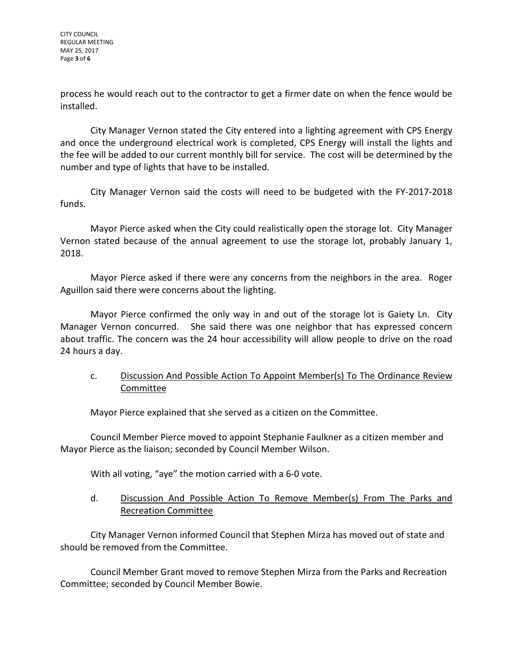CITY COUNCIL REGULAR MEETING MAY 25, 2017 Page **3** of **6**

process he would reach out to the contractor to get a firmer date on when the fence would be installed.

City Manager Vernon stated the City entered into a lighting agreement with CPS Energy and once the underground electrical work is completed, CPS Energy will install the lights and the fee will be added to our current monthly bill for service. The cost will be determined by the number and type of lights that have to be installed.

City Manager Vernon said the costs will need to be budgeted with the FY-2017-2018 funds.

Mayor Pierce asked when the City could realistically open the storage lot. City Manager Vernon stated because of the annual agreement to use the storage lot, probably January 1, 2018.

Mayor Pierce asked if there were any concerns from the neighbors in the area. Roger Aguillon said there were concerns about the lighting.

Mayor Pierce confirmed the only way in and out of the storage lot is Gaiety Ln. City Manager Vernon concurred. She said there was one neighbor that has expressed concern about traffic. The concern was the 24 hour accessibility will allow people to drive on the road 24 hours a day.

# c. Discussion And Possible Action To Appoint Member(s) To The Ordinance Review Committee

Mayor Pierce explained that she served as a citizen on the Committee.

Council Member Pierce moved to appoint Stephanie Faulkner as a citizen member and Mayor Pierce as the liaison; seconded by Council Member Wilson.

With all voting, "aye" the motion carried with a 6-0 vote.

## d. Discussion And Possible Action To Remove Member(s) From The Parks and Recreation Committee

City Manager Vernon informed Council that Stephen Mirza has moved out of state and should be removed from the Committee.

Council Member Grant moved to remove Stephen Mirza from the Parks and Recreation Committee; seconded by Council Member Bowie.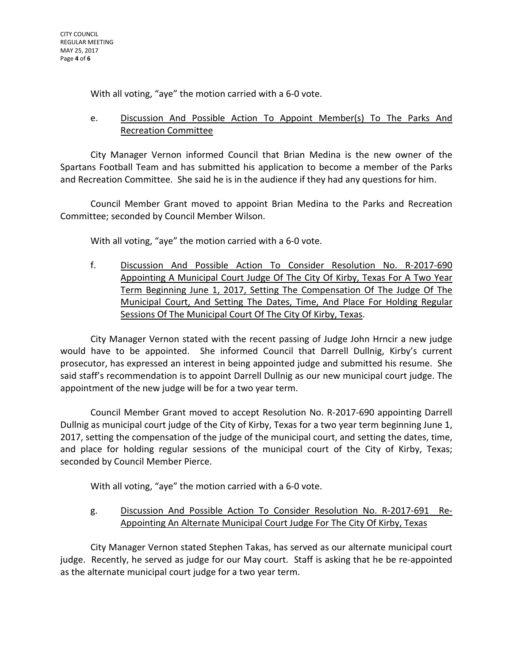With all voting, "aye" the motion carried with a 6-0 vote.

# e. Discussion And Possible Action To Appoint Member(s) To The Parks And Recreation Committee

City Manager Vernon informed Council that Brian Medina is the new owner of the Spartans Football Team and has submitted his application to become a member of the Parks and Recreation Committee. She said he is in the audience if they had any questions for him.

Council Member Grant moved to appoint Brian Medina to the Parks and Recreation Committee; seconded by Council Member Wilson.

With all voting, "aye" the motion carried with a 6-0 vote.

f. Discussion And Possible Action To Consider Resolution No. R-2017-690 Appointing A Municipal Court Judge Of The City Of Kirby, Texas For A Two Year Term Beginning June 1, 2017, Setting The Compensation Of The Judge Of The Municipal Court, And Setting The Dates, Time, And Place For Holding Regular Sessions Of The Municipal Court Of The City Of Kirby, Texas.

City Manager Vernon stated with the recent passing of Judge John Hrncir a new judge would have to be appointed. She informed Council that Darrell Dullnig, Kirby's current prosecutor, has expressed an interest in being appointed judge and submitted his resume. She said staff's recommendation is to appoint Darrell Dullnig as our new municipal court judge. The appointment of the new judge will be for a two year term.

Council Member Grant moved to accept Resolution No. R-2017-690 appointing Darrell Dullnig as municipal court judge of the City of Kirby, Texas for a two year term beginning June 1, 2017, setting the compensation of the judge of the municipal court, and setting the dates, time, and place for holding regular sessions of the municipal court of the City of Kirby, Texas; seconded by Council Member Pierce.

With all voting, "aye" the motion carried with a 6-0 vote.

g. Discussion And Possible Action To Consider Resolution No. R-2017-691 Re-Appointing An Alternate Municipal Court Judge For The City Of Kirby, Texas

City Manager Vernon stated Stephen Takas, has served as our alternate municipal court judge. Recently, he served as judge for our May court. Staff is asking that he be re-appointed as the alternate municipal court judge for a two year term.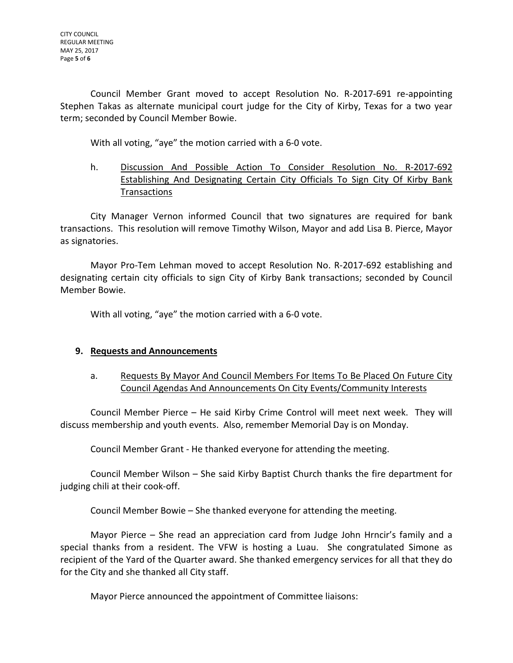Council Member Grant moved to accept Resolution No. R-2017-691 re-appointing Stephen Takas as alternate municipal court judge for the City of Kirby, Texas for a two year term; seconded by Council Member Bowie.

With all voting, "aye" the motion carried with a 6-0 vote.

h. Discussion And Possible Action To Consider Resolution No. R-2017-692 Establishing And Designating Certain City Officials To Sign City Of Kirby Bank Transactions

City Manager Vernon informed Council that two signatures are required for bank transactions. This resolution will remove Timothy Wilson, Mayor and add Lisa B. Pierce, Mayor as signatories.

Mayor Pro-Tem Lehman moved to accept Resolution No. R-2017-692 establishing and designating certain city officials to sign City of Kirby Bank transactions; seconded by Council Member Bowie.

With all voting, "aye" the motion carried with a 6-0 vote.

# **9. Requests and Announcements**

a. Requests By Mayor And Council Members For Items To Be Placed On Future City Council Agendas And Announcements On City Events/Community Interests

Council Member Pierce – He said Kirby Crime Control will meet next week. They will discuss membership and youth events. Also, remember Memorial Day is on Monday.

Council Member Grant - He thanked everyone for attending the meeting.

Council Member Wilson – She said Kirby Baptist Church thanks the fire department for judging chili at their cook-off.

Council Member Bowie – She thanked everyone for attending the meeting.

Mayor Pierce – She read an appreciation card from Judge John Hrncir's family and a special thanks from a resident. The VFW is hosting a Luau. She congratulated Simone as recipient of the Yard of the Quarter award. She thanked emergency services for all that they do for the City and she thanked all City staff.

Mayor Pierce announced the appointment of Committee liaisons: